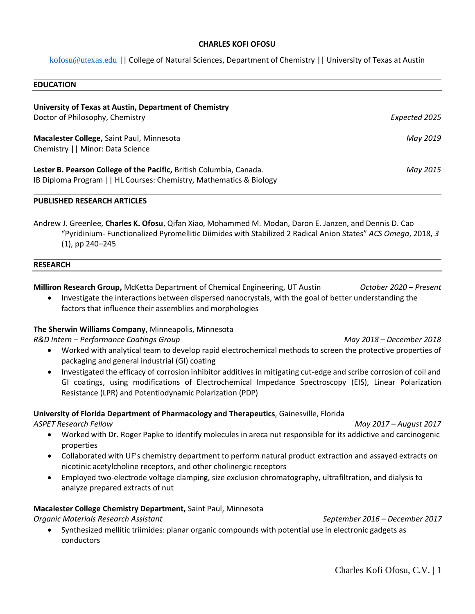## **CHARLES KOFI OFOSU**

[kofosu@utexas.edu](mailto:kofosu@utexas.edu) || College of Natural Sciences, Department of Chemistry || University of Texas at Austin

| <b>EDUCATION</b>                                                                                                                           |               |
|--------------------------------------------------------------------------------------------------------------------------------------------|---------------|
| University of Texas at Austin, Department of Chemistry                                                                                     |               |
| Doctor of Philosophy, Chemistry                                                                                                            | Expected 2025 |
| Macalester College, Saint Paul, Minnesota<br>Chemistry     Minor: Data Science                                                             | May 2019      |
| Lester B. Pearson College of the Pacific, British Columbia, Canada.<br>IB Diploma Program     HL Courses: Chemistry, Mathematics & Biology | May 2015      |

### **PUBLISHED RESEARCH ARTICLES**

Andrew J. Greenlee, **Charles K. Ofosu**, Qifan Xiao, Mohammed M. Modan, Daron E. Janzen, and Dennis D. Cao "Pyridinium- Functionalized Pyromellitic Diimides with Stabilized 2 Radical Anion States" *ACS Omega*, 2018, *3*  (1), pp 240–245

#### **RESEARCH**

**Milliron Research Group,** McKetta Department of Chemical Engineering, UT Austin *October 2020 – Present*

• Investigate the interactions between dispersed nanocrystals, with the goal of better understanding the factors that influence their assemblies and morphologies

# **The Sherwin Williams Company**, Minneapolis, Minnesota

*R&D Intern – Performance Coatings Group May 2018 – December 2018*

- Worked with analytical team to develop rapid electrochemical methods to screen the protective properties of packaging and general industrial (GI) coating
- Investigated the efficacy of corrosion inhibitor additives in mitigating cut-edge and scribe corrosion of coil and GI coatings, using modifications of Electrochemical Impedance Spectroscopy (EIS), Linear Polarization Resistance (LPR) and Potentiodynamic Polarization (PDP)

# **University of Florida Department of Pharmacology and Therapeutics**, Gainesville, Florida

*ASPET Research Fellow May 2017 – August 2017*

- Worked with Dr. Roger Papke to identify molecules in areca nut responsible for its addictive and carcinogenic properties
- Collaborated with UF's chemistry department to perform natural product extraction and assayed extracts on nicotinic acetylcholine receptors, and other cholinergic receptors
- Employed two-electrode voltage clamping, size exclusion chromatography, ultrafiltration, and dialysis to analyze prepared extracts of nut

# **Macalester College Chemistry Department,** Saint Paul, Minnesota

*Organic Materials Research Assistant September 2016 – December 2017*

• Synthesized mellitic triimides: planar organic compounds with potential use in electronic gadgets as conductors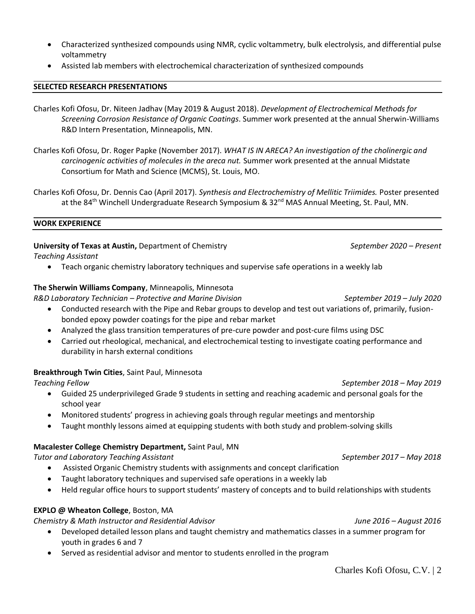- Characterized synthesized compounds using NMR, cyclic voltammetry, bulk electrolysis, and differential pulse voltammetry
- Assisted lab members with electrochemical characterization of synthesized compounds

## **SELECTED RESEARCH PRESENTATIONS**

Charles Kofi Ofosu, Dr. Niteen Jadhav (May 2019 & August 2018). *Development of Electrochemical Methods for Screening Corrosion Resistance of Organic Coatings*. Summer work presented at the annual Sherwin-Williams R&D Intern Presentation, Minneapolis, MN.

- Charles Kofi Ofosu, Dr. Roger Papke (November 2017). *WHAT IS IN ARECA? An investigation of the cholinergic and carcinogenic activities of molecules in the areca nut.* Summer work presented at the annual Midstate Consortium for Math and Science (MCMS), St. Louis, MO.
- Charles Kofi Ofosu, Dr. Dennis Cao (April 2017). *Synthesis and Electrochemistry of Mellitic Triimides.* Poster presented at the 84<sup>th</sup> Winchell Undergraduate Research Symposium &  $32<sup>nd</sup>$  MAS Annual Meeting, St. Paul, MN.

#### **WORK EXPERIENCE**

**University of Texas at Austin,** Department of Chemistry *September 2020 – Present*

*Teaching Assistant*

• Teach organic chemistry laboratory techniques and supervise safe operations in a weekly lab

# **The Sherwin Williams Company**, Minneapolis, Minnesota

*R&D Laboratory Technician – Protective and Marine Division September 2019 – July 2020*

- Conducted research with the Pipe and Rebar groups to develop and test out variations of, primarily, fusionbonded epoxy powder coatings for the pipe and rebar market
- Analyzed the glass transition temperatures of pre-cure powder and post-cure films using DSC
- Carried out rheological, mechanical, and electrochemical testing to investigate coating performance and durability in harsh external conditions

# **Breakthrough Twin Cities**, Saint Paul, Minnesota

*Teaching Fellow September 2018 – May 2019*

- Guided 25 underprivileged Grade 9 students in setting and reaching academic and personal goals for the school year
- Monitored students' progress in achieving goals through regular meetings and mentorship
- Taught monthly lessons aimed at equipping students with both study and problem-solving skills

# **Macalester College Chemistry Department,** Saint Paul, MN

*Tutor and Laboratory Teaching Assistant September 2017 – May 2018*

- Assisted Organic Chemistry students with assignments and concept clarification
- Taught laboratory techniques and supervised safe operations in a weekly lab
- Held regular office hours to support students' mastery of concepts and to build relationships with students

# **EXPLO @ Wheaton College**, Boston, MA

*Chemistry & Math Instructor and Residential Advisor June 2016 – August 2016*

- Developed detailed lesson plans and taught chemistry and mathematics classes in a summer program for youth in grades 6 and 7
- Served as residential advisor and mentor to students enrolled in the program

Charles Kofi Ofosu, C.V. | 2